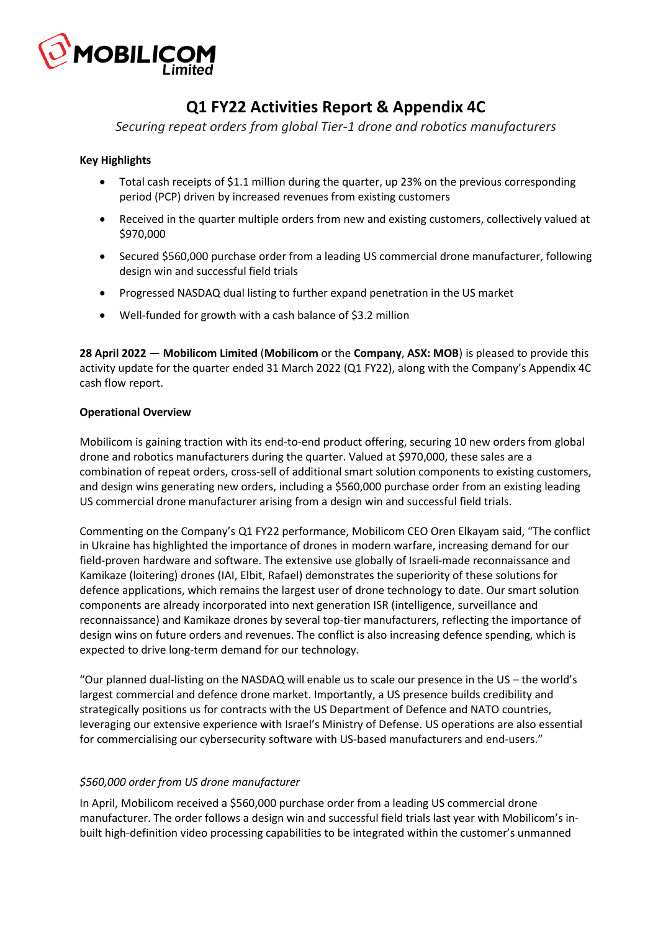

### **Q1 FY22 Activities Report & Appendix 4C**

*Securing repeat orders from global Tier-1 drone and robotics manufacturers*

#### **Key Highlights**

- Total cash receipts of \$1.1 million during the quarter, up 23% on the previous corresponding period (PCP) driven by increased revenues from existing customers
- Received in the quarter multiple orders from new and existing customers, collectively valued at \$970,000
- Secured \$560,000 purchase order from a leading US commercial drone manufacturer, following design win and successful field trials
- Progressed NASDAQ dual listing to further expand penetration in the US market
- Well-funded for growth with a cash balance of \$3.2 million

**28 April 2022** — **Mobilicom Limited** (**Mobilicom** or the **Company**, **ASX: MOB**) is pleased to provide this activity update for the quarter ended 31 March 2022 (Q1 FY22), along with the Company's Appendix 4C cash flow report.

#### **Operational Overview**

Mobilicom is gaining traction with its end-to-end product offering, securing 10 new orders from global drone and robotics manufacturers during the quarter. Valued at \$970,000, these sales are a combination of repeat orders, cross-sell of additional smart solution components to existing customers, and design wins generating new orders, including a \$560,000 purchase order from an existing leading US commercial drone manufacturer arising from a design win and successful field trials.

Commenting on the Company's Q1 FY22 performance, Mobilicom CEO Oren Elkayam said, "The conflict in Ukraine has highlighted the importance of drones in modern warfare, increasing demand for our field-proven hardware and software. The extensive use globally of Israeli-made reconnaissance and Kamikaze (loitering) drones (IAI, Elbit, Rafael) demonstrates the superiority of these solutions for defence applications, which remains the largest user of drone technology to date. Our smart solution components are already incorporated into next generation ISR (intelligence, surveillance and reconnaissance) and Kamikaze drones by several top-tier manufacturers, reflecting the importance of design wins on future orders and revenues. The conflict is also increasing defence spending, which is expected to drive long-term demand for our technology.

"Our planned dual-listing on the NASDAQ will enable us to scale our presence in the US – the world's largest commercial and defence drone market. Importantly, a US presence builds credibility and strategically positions us for contracts with the US Department of Defence and NATO countries, leveraging our extensive experience with Israel's Ministry of Defense. US operations are also essential for commercialising our cybersecurity software with US-based manufacturers and end-users."

### *\$560,000 order from US drone manufacturer*

In April, Mobilicom received a \$560,000 purchase order from a leading US commercial drone manufacturer. The order follows a design win and successful field trials last year with Mobilicom's inbuilt high-definition video processing capabilities to be integrated within the customer's unmanned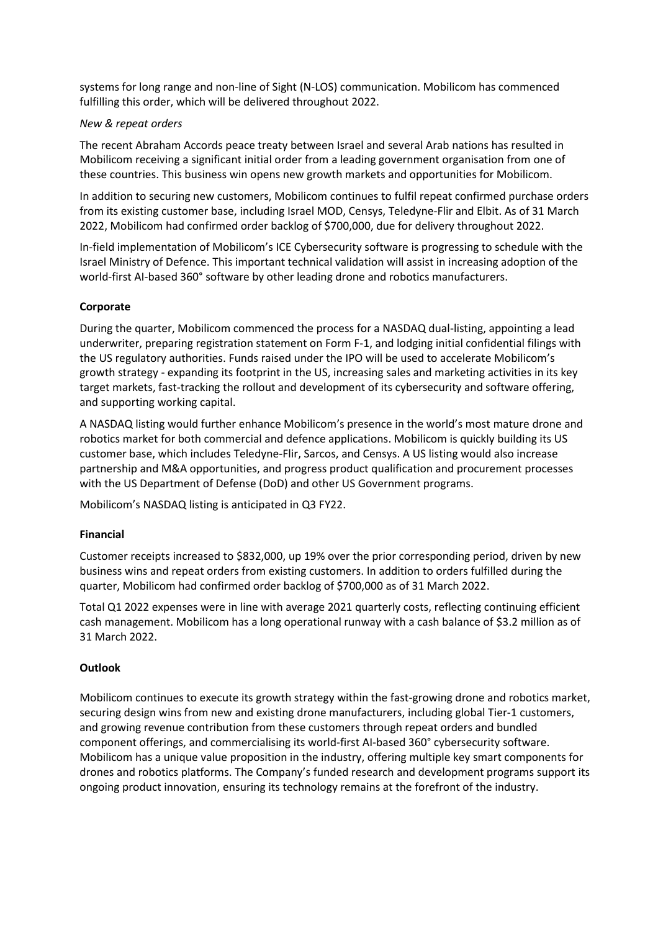systems for long range and non-line of Sight (N-LOS) communication. Mobilicom has commenced fulfilling this order, which will be delivered throughout 2022.

#### *New & repeat orders*

The recent Abraham Accords peace treaty between Israel and several Arab nations has resulted in Mobilicom receiving a significant initial order from a leading government organisation from one of these countries. This business win opens new growth markets and opportunities for Mobilicom.

In addition to securing new customers, Mobilicom continues to fulfil repeat confirmed purchase orders from its existing customer base, including Israel MOD, Censys, Teledyne-Flir and Elbit. As of 31 March 2022, Mobilicom had confirmed order backlog of \$700,000, due for delivery throughout 2022.

In-field implementation of Mobilicom's ICE Cybersecurity software is progressing to schedule with the Israel Ministry of Defence. This important technical validation will assist in increasing adoption of the world-first AI-based 360° software by other leading drone and robotics manufacturers.

#### **Corporate**

During the quarter, Mobilicom commenced the process for a NASDAQ dual-listing, appointing a lead underwriter, preparing registration statement on Form F-1, and lodging initial confidential filings with the US regulatory authorities. Funds raised under the IPO will be used to accelerate Mobilicom's growth strategy - expanding its footprint in the US, increasing sales and marketing activities in its key target markets, fast-tracking the rollout and development of its cybersecurity and software offering, and supporting working capital.

A NASDAQ listing would further enhance Mobilicom's presence in the world's most mature drone and robotics market for both commercial and defence applications. Mobilicom is quickly building its US customer base, which includes Teledyne-Flir, Sarcos, and Censys. A US listing would also increase partnership and M&A opportunities, and progress product qualification and procurement processes with the US Department of Defense (DoD) and other US Government programs.

Mobilicom's NASDAQ listing is anticipated in Q3 FY22.

#### **Financial**

Customer receipts increased to \$832,000, up 19% over the prior corresponding period, driven by new business wins and repeat orders from existing customers. In addition to orders fulfilled during the quarter, Mobilicom had confirmed order backlog of \$700,000 as of 31 March 2022.

Total Q1 2022 expenses were in line with average 2021 quarterly costs, reflecting continuing efficient cash management. Mobilicom has a long operational runway with a cash balance of \$3.2 million as of 31 March 2022.

#### **Outlook**

Mobilicom continues to execute its growth strategy within the fast-growing drone and robotics market, securing design wins from new and existing drone manufacturers, including global Tier-1 customers, and growing revenue contribution from these customers through repeat orders and bundled component offerings, and commercialising its world-first AI-based 360° cybersecurity software. Mobilicom has a unique value proposition in the industry, offering multiple key smart components for drones and robotics platforms. The Company's funded research and development programs support its ongoing product innovation, ensuring its technology remains at the forefront of the industry.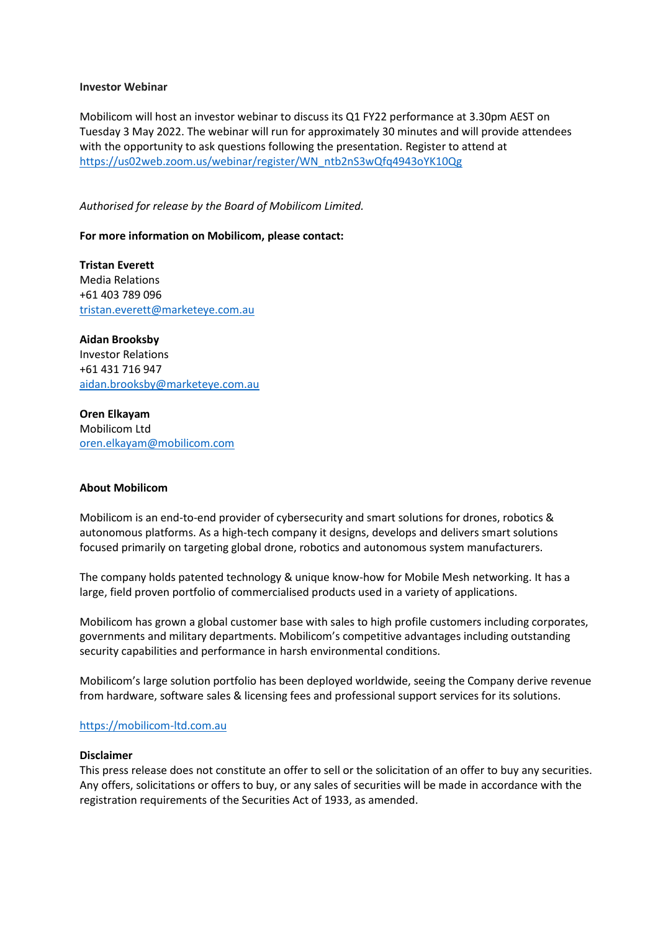#### **Investor Webinar**

Mobilicom will host an investor webinar to discuss its Q1 FY22 performance at 3.30pm AEST on Tuesday 3 May 2022. The webinar will run for approximately 30 minutes and will provide attendees with the opportunity to ask questions following the presentation. Register to attend at [https://us02web.zoom.us/webinar/register/WN\\_ntb2nS3wQfq4943oYK10Qg](https://us02web.zoom.us/webinar/register/WN_ntb2nS3wQfq4943oYK10Qg)

*Authorised for release by the Board of Mobilicom Limited.* 

#### **For more information on Mobilicom, please contact:**

**Tristan Everett** Media Relations +61 403 789 096 [tristan.everett@marketeye.com.au](mailto:tristan.everett@marketeye.com.au)

**Aidan Brooksby** Investor Relations +61 431 716 947 [aidan.brooksby@marketeye.com.au](mailto:aidan.brooksby@marketeye.com.au)

**Oren Elkayam** Mobilicom Ltd [oren.elkayam@mobilicom.com](mailto:oren.elkayam@mobilicom.com)

#### **About Mobilicom**

Mobilicom is an end-to-end provider of cybersecurity and smart solutions for drones, robotics & autonomous platforms. As a high-tech company it designs, develops and delivers smart solutions focused primarily on targeting global drone, robotics and autonomous system manufacturers.

The company holds patented technology & unique know-how for Mobile Mesh networking. It has a large, field proven portfolio of commercialised products used in a variety of applications.

Mobilicom has grown a global customer base with sales to high profile customers including corporates, governments and military departments. Mobilicom's competitive advantages including outstanding security capabilities and performance in harsh environmental conditions.

Mobilicom's large solution portfolio has been deployed worldwide, seeing the Company derive revenue from hardware, software sales & licensing fees and professional support services for its solutions.

#### [https://mobilicom-ltd.com.au](https://mobilicom-ltd.com.au/)

#### **Disclaimer**

This press release does not constitute an offer to sell or the solicitation of an offer to buy any securities. Any offers, solicitations or offers to buy, or any sales of securities will be made in accordance with the registration requirements of the Securities Act of 1933, as amended.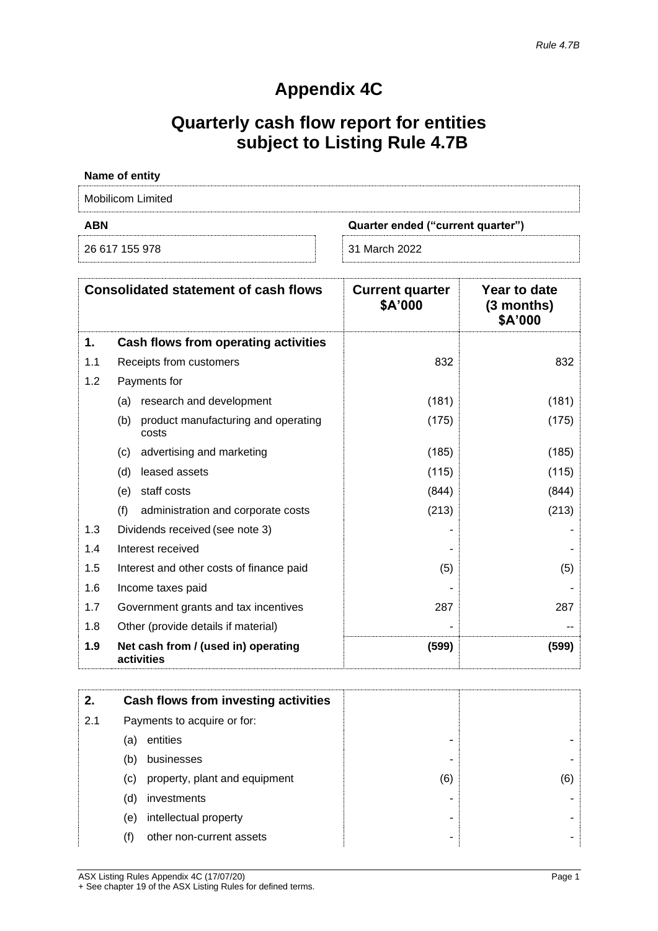## **Appendix 4C**

# **Quarterly cash flow report for entities subject to Listing Rule 4.7B**

| Name of entity    |                                   |
|-------------------|-----------------------------------|
| Mobilicom Limited |                                   |
| <b>ABN</b>        | Quarter ended ("current quarter") |
|                   |                                   |

| <b>Consolidated statement of cash flows</b> |                                                     | <b>Current quarter</b><br>\$A'000 | Year to date<br>$(3$ months)<br>\$A'000 |
|---------------------------------------------|-----------------------------------------------------|-----------------------------------|-----------------------------------------|
| 1.                                          | Cash flows from operating activities                |                                   |                                         |
| 1.1                                         | Receipts from customers                             | 832                               | 832                                     |
| 1.2                                         | Payments for                                        |                                   |                                         |
|                                             | research and development<br>(a)                     | (181)                             | (181)                                   |
|                                             | product manufacturing and operating<br>(b)<br>costs | (175)                             | (175)                                   |
|                                             | advertising and marketing<br>(C)                    | (185)                             | (185)                                   |
|                                             | leased assets<br>(d)                                | (115)                             | (115)                                   |
|                                             | staff costs<br>(e)                                  | (844)                             | (844)                                   |
|                                             | (f)<br>administration and corporate costs           | (213)                             | (213)                                   |
| 1.3                                         | Dividends received (see note 3)                     |                                   |                                         |
| 1.4                                         | Interest received                                   |                                   |                                         |
| 1.5                                         | Interest and other costs of finance paid            | (5)                               | (5)                                     |
| 1.6                                         | Income taxes paid                                   |                                   |                                         |
| 1.7                                         | Government grants and tax incentives                | 287                               | 287                                     |
| 1.8                                         | Other (provide details if material)                 |                                   |                                         |
| 1.9                                         | Net cash from / (used in) operating<br>activities   | (599)                             | (599)                                   |

| 2.  |                             | Cash flows from investing activities |     |     |
|-----|-----------------------------|--------------------------------------|-----|-----|
| 2.1 | Payments to acquire or for: |                                      |     |     |
|     | (a)                         | entities                             |     |     |
|     | (b)                         | businesses                           |     |     |
|     | (c)                         | property, plant and equipment        | (6) | (6) |
|     | (d)                         | investments                          |     |     |
|     | (e)                         | intellectual property                |     |     |
|     | (f)                         | other non-current assets             |     |     |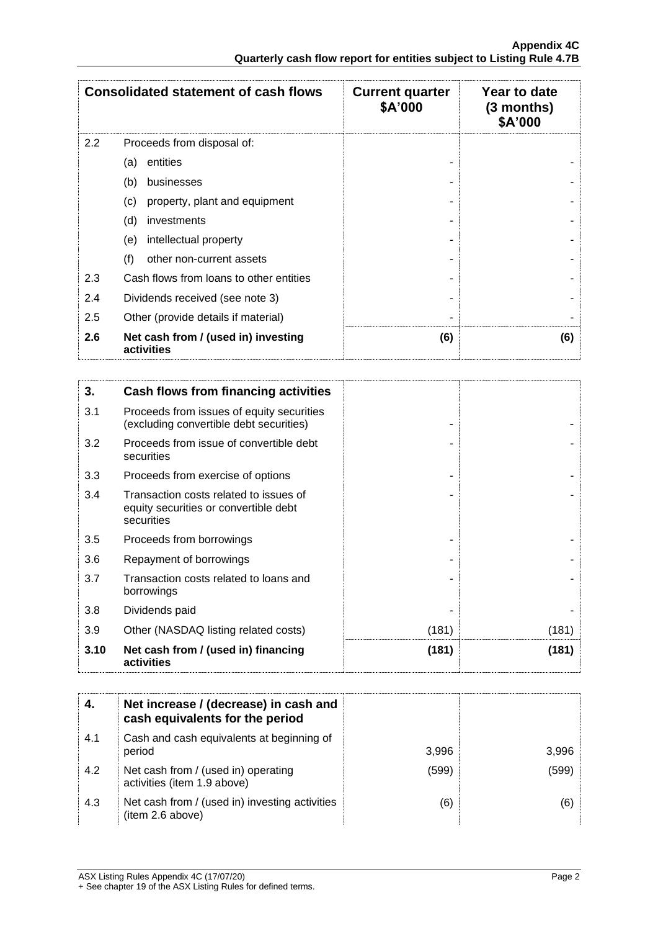|     | <b>Consolidated statement of cash flows</b>       | <b>Current quarter</b><br>\$A'000 | Year to date<br>$(3$ months)<br>\$A'000 |
|-----|---------------------------------------------------|-----------------------------------|-----------------------------------------|
| 2.2 | Proceeds from disposal of:                        |                                   |                                         |
|     | entities<br>(a)                                   |                                   |                                         |
|     | (b)<br>businesses                                 |                                   |                                         |
|     | property, plant and equipment<br>(c)              |                                   |                                         |
|     | (d)<br>investments                                |                                   |                                         |
|     | intellectual property<br>(e)                      |                                   |                                         |
|     | (f)<br>other non-current assets                   |                                   |                                         |
| 2.3 | Cash flows from loans to other entities           |                                   |                                         |
| 2.4 | Dividends received (see note 3)                   |                                   |                                         |
| 2.5 | Other (provide details if material)               |                                   |                                         |
| 2.6 | Net cash from / (used in) investing<br>activities | (6)                               | (6)                                     |

| 3.   | Cash flows from financing activities                                                          |       |       |
|------|-----------------------------------------------------------------------------------------------|-------|-------|
| 3.1  | Proceeds from issues of equity securities<br>(excluding convertible debt securities)          |       |       |
| 3.2  | Proceeds from issue of convertible debt<br>securities                                         |       |       |
| 3.3  | Proceeds from exercise of options                                                             |       |       |
| 3.4  | Transaction costs related to issues of<br>equity securities or convertible debt<br>securities |       |       |
| 3.5  | Proceeds from borrowings                                                                      |       |       |
| 3.6  | Repayment of borrowings                                                                       |       |       |
| 3.7  | Transaction costs related to loans and<br>borrowings                                          |       |       |
| 3.8  | Dividends paid                                                                                |       |       |
| 3.9  | Other (NASDAQ listing related costs)                                                          | (181) | (181) |
| 3.10 | Net cash from / (used in) financing<br>activities                                             | (181) | (181) |

|     | Net increase / (decrease) in cash and<br>cash equivalents for the period |       |       |
|-----|--------------------------------------------------------------------------|-------|-------|
| 4.1 | Cash and cash equivalents at beginning of<br>period                      | 3,996 | 3,996 |
| 4.2 | Net cash from / (used in) operating<br>activities (item 1.9 above)       | (599) | (599) |
| 4.3 | Net cash from / (used in) investing activities<br>(item 2.6 above)       | (6)   | (6)   |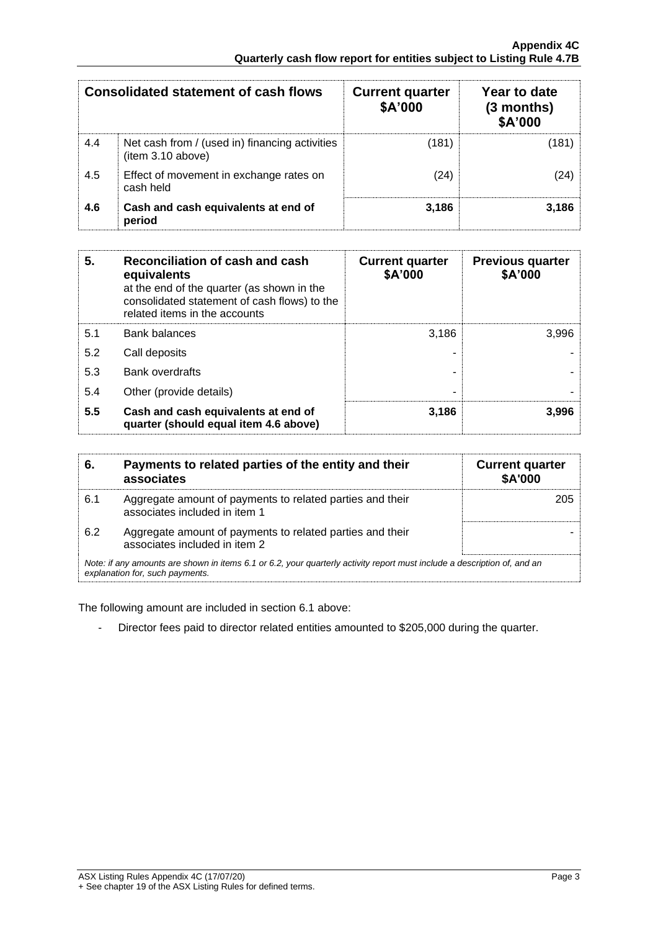| <b>Consolidated statement of cash flows</b> |                                                                    | <b>Current quarter</b><br>\$A'000 | Year to date<br>$(3$ months)<br>\$A'000 |
|---------------------------------------------|--------------------------------------------------------------------|-----------------------------------|-----------------------------------------|
| 4.4                                         | Net cash from / (used in) financing activities<br>item 3.10 above) | (181)                             | (181)                                   |
| 4.5                                         | Effect of movement in exchange rates on<br>cash held               | (24)                              | (24)                                    |
| 4.6                                         | Cash and cash equivalents at end of<br>period                      | 3.186                             | 3,186                                   |

| 5.  | Reconciliation of cash and cash<br>equivalents<br>at the end of the quarter (as shown in the<br>consolidated statement of cash flows) to the<br>related items in the accounts | <b>Current quarter</b><br>\$A'000 | <b>Previous quarter</b><br>\$A'000 |
|-----|-------------------------------------------------------------------------------------------------------------------------------------------------------------------------------|-----------------------------------|------------------------------------|
| 5.1 | <b>Bank balances</b>                                                                                                                                                          | 3.186                             | 3.996                              |
| 5.2 | Call deposits                                                                                                                                                                 |                                   |                                    |
| 5.3 | <b>Bank overdrafts</b>                                                                                                                                                        |                                   |                                    |
| 5.4 | Other (provide details)                                                                                                                                                       |                                   |                                    |
| 5.5 | Cash and cash equivalents at end of<br>quarter (should equal item 4.6 above)                                                                                                  | 3,186                             | 3.996                              |

| 6.  | Payments to related parties of the entity and their<br>associates                                                                                           | <b>Current quarter</b><br><b>\$A'000</b> |
|-----|-------------------------------------------------------------------------------------------------------------------------------------------------------------|------------------------------------------|
| 6.1 | Aggregate amount of payments to related parties and their<br>associates included in item 1                                                                  | 205                                      |
| 6.2 | Aggregate amount of payments to related parties and their<br>associates included in item 2                                                                  |                                          |
|     | Note: if any amounts are shown in items 6.1 or 6.2, your quarterly activity report must include a description of, and an<br>explanation for, such payments. |                                          |

The following amount are included in section 6.1 above:

- Director fees paid to director related entities amounted to \$205,000 during the quarter.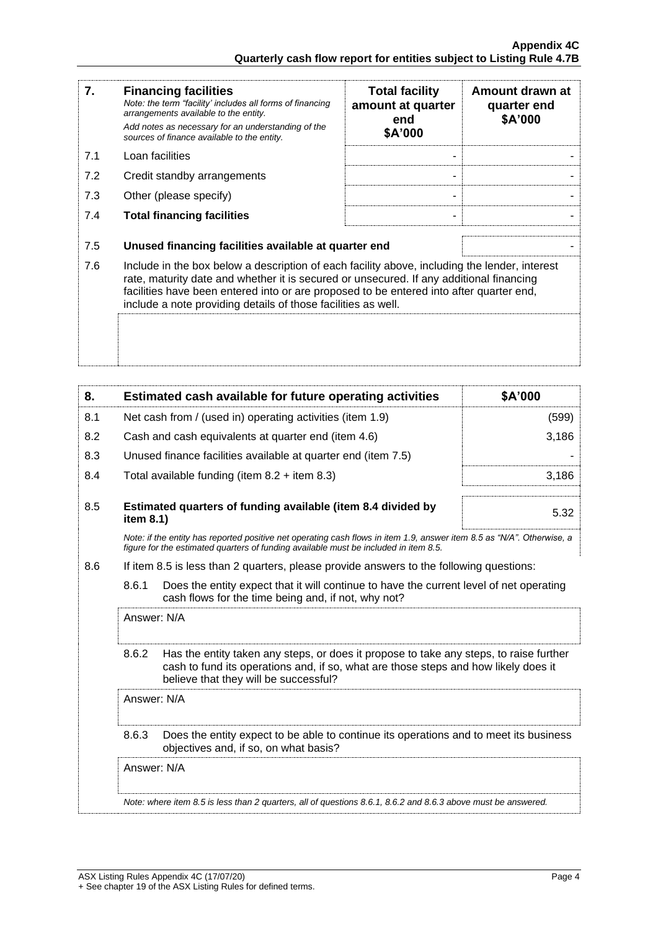| 7.  | <b>Financing facilities</b><br>Note: the term "facility' includes all forms of financing<br>arrangements available to the entity.<br>Add notes as necessary for an understanding of the<br>sources of finance available to the entity.                                                                                                               | <b>Total facility</b><br>amount at quarter<br>end<br>\$A'000 | Amount drawn at<br>quarter end<br>\$A'000 |
|-----|------------------------------------------------------------------------------------------------------------------------------------------------------------------------------------------------------------------------------------------------------------------------------------------------------------------------------------------------------|--------------------------------------------------------------|-------------------------------------------|
| 7.1 | Loan facilities                                                                                                                                                                                                                                                                                                                                      |                                                              |                                           |
| 7.2 | Credit standby arrangements                                                                                                                                                                                                                                                                                                                          |                                                              |                                           |
| 7.3 | Other (please specify)                                                                                                                                                                                                                                                                                                                               |                                                              |                                           |
| 7.4 | <b>Total financing facilities</b>                                                                                                                                                                                                                                                                                                                    |                                                              |                                           |
|     |                                                                                                                                                                                                                                                                                                                                                      |                                                              |                                           |
| 7.5 | Unused financing facilities available at quarter end                                                                                                                                                                                                                                                                                                 |                                                              |                                           |
| 7.6 | Include in the box below a description of each facility above, including the lender, interest<br>rate, maturity date and whether it is secured or unsecured. If any additional financing<br>facilities have been entered into or are proposed to be entered into after quarter end,<br>include a note providing details of those facilities as well. |                                                              |                                           |
|     |                                                                                                                                                                                                                                                                                                                                                      |                                                              |                                           |

| 8.  |                                                                                                                                                                                                                                 | Estimated cash available for future operating activities                                                                                                                                                       | \$A'000 |
|-----|---------------------------------------------------------------------------------------------------------------------------------------------------------------------------------------------------------------------------------|----------------------------------------------------------------------------------------------------------------------------------------------------------------------------------------------------------------|---------|
| 8.1 |                                                                                                                                                                                                                                 | Net cash from / (used in) operating activities (item 1.9)                                                                                                                                                      | (599)   |
| 8.2 |                                                                                                                                                                                                                                 | Cash and cash equivalents at quarter end (item 4.6)                                                                                                                                                            | 3,186   |
| 8.3 |                                                                                                                                                                                                                                 | Unused finance facilities available at quarter end (item 7.5)                                                                                                                                                  |         |
| 8.4 |                                                                                                                                                                                                                                 | Total available funding (item $8.2 +$ item $8.3$ )                                                                                                                                                             | 3,186   |
| 8.5 | item 8.1)                                                                                                                                                                                                                       | Estimated quarters of funding available (item 8.4 divided by                                                                                                                                                   | 5.32    |
|     |                                                                                                                                                                                                                                 | Note: if the entity has reported positive net operating cash flows in item 1.9, answer item 8.5 as "N/A". Otherwise, a<br>figure for the estimated quarters of funding available must be included in item 8.5. |         |
| 8.6 |                                                                                                                                                                                                                                 | If item 8.5 is less than 2 quarters, please provide answers to the following questions:                                                                                                                        |         |
|     | 8.6.1                                                                                                                                                                                                                           | Does the entity expect that it will continue to have the current level of net operating<br>cash flows for the time being and, if not, why not?                                                                 |         |
|     | Answer: N/A                                                                                                                                                                                                                     |                                                                                                                                                                                                                |         |
|     | 8.6.2<br>Has the entity taken any steps, or does it propose to take any steps, to raise further<br>cash to fund its operations and, if so, what are those steps and how likely does it<br>believe that they will be successful? |                                                                                                                                                                                                                |         |
|     | Answer: N/A                                                                                                                                                                                                                     |                                                                                                                                                                                                                |         |
|     | 8.6.3                                                                                                                                                                                                                           | Does the entity expect to be able to continue its operations and to meet its business<br>objectives and, if so, on what basis?                                                                                 |         |
|     | Answer: N/A                                                                                                                                                                                                                     |                                                                                                                                                                                                                |         |
|     |                                                                                                                                                                                                                                 | Note: where item 8.5 is less than 2 quarters, all of questions 8.6.1, 8.6.2 and 8.6.3 above must be answered.                                                                                                  |         |